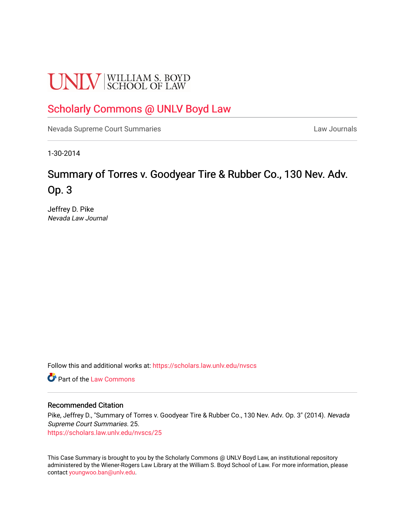# **UNLV** SCHOOL OF LAW

## [Scholarly Commons @ UNLV Boyd Law](https://scholars.law.unlv.edu/)

[Nevada Supreme Court Summaries](https://scholars.law.unlv.edu/nvscs) **Law Journals** Law Journals

1-30-2014

# Summary of Torres v. Goodyear Tire & Rubber Co., 130 Nev. Adv. Op. 3

Jeffrey D. Pike Nevada Law Journal

Follow this and additional works at: [https://scholars.law.unlv.edu/nvscs](https://scholars.law.unlv.edu/nvscs?utm_source=scholars.law.unlv.edu%2Fnvscs%2F25&utm_medium=PDF&utm_campaign=PDFCoverPages)

**C** Part of the [Law Commons](http://network.bepress.com/hgg/discipline/578?utm_source=scholars.law.unlv.edu%2Fnvscs%2F25&utm_medium=PDF&utm_campaign=PDFCoverPages)

#### Recommended Citation

Pike, Jeffrey D., "Summary of Torres v. Goodyear Tire & Rubber Co., 130 Nev. Adv. Op. 3" (2014). Nevada Supreme Court Summaries. 25. [https://scholars.law.unlv.edu/nvscs/25](https://scholars.law.unlv.edu/nvscs/25?utm_source=scholars.law.unlv.edu%2Fnvscs%2F25&utm_medium=PDF&utm_campaign=PDFCoverPages) 

This Case Summary is brought to you by the Scholarly Commons @ UNLV Boyd Law, an institutional repository administered by the Wiener-Rogers Law Library at the William S. Boyd School of Law. For more information, please contact [youngwoo.ban@unlv.edu](mailto:youngwoo.ban@unlv.edu).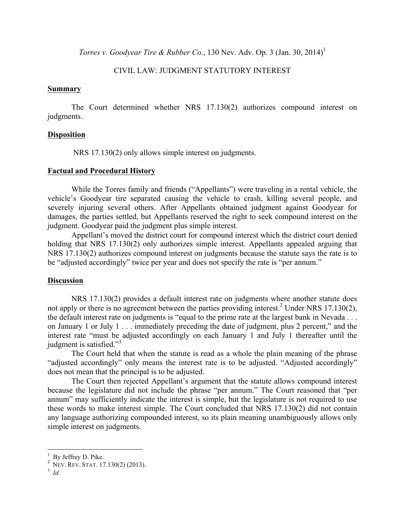*Torres v. Goodyear Tire & Rubber Co.*, 130 Nev. Adv. Op. 3 (Jan. 30, 2014) 1

### CIVIL LAW: JUDGMENT STATUTORY INTEREST

#### **Summary**

The Court determined whether NRS 17.130(2) authorizes compound interest on judgments.

#### **Disposition**

NRS 17.130(2) only allows simple interest on judgments.

#### **Factual and Procedural History**

While the Torres family and friends ("Appellants") were traveling in a rental vehicle, the vehicle's Goodyear tire separated causing the vehicle to crash, killing several people, and severely injuring several others. After Appellants obtained judgment against Goodyear for damages, the parties settled, but Appellants reserved the right to seek compound interest on the judgment. Goodyear paid the judgment plus simple interest.

Appellant's moved the district court for compound interest which the district court denied holding that NRS 17.130(2) only authorizes simple interest. Appellants appealed arguing that NRS 17.130(2) authorizes compound interest on judgments because the statute says the rate is to be "adjusted accordingly" twice per year and does not specify the rate is "per annum."

#### **Discussion**

NRS 17.130(2) provides a default interest rate on judgments where another statute does not apply or there is no agreement between the parties providing interest.<sup>2</sup> Under NRS 17.130(2), the default interest rate on judgments is "equal to the prime rate at the largest bank in Nevada . . . on January 1 or July 1 . . . immediately preceding the date of judgment, plus 2 percent," and the interest rate "must be adjusted accordingly on each January 1 and July 1 thereafter until the judgment is satisfied."<sup>3</sup>

The Court held that when the statute is read as a whole the plain meaning of the phrase "adjusted accordingly" only means the interest rate is to be adjusted. "Adjusted accordingly" does not mean that the principal is to be adjusted.

The Court then rejected Appellant's argument that the statute allows compound interest because the legislature did not include the phrase "per annum." The Court reasoned that "per annum" may sufficiently indicate the interest is simple, but the legislature is not required to use these words to make interest simple. The Court concluded that NRS 17.130(2) did not contain any language authorizing compounded interest, so its plain meaning unambiguously allows only simple interest on judgments.

 

<sup>1</sup>

 $^1$  By Jeffrey D. Pike.<br><sup>2</sup> NEV. REV. STAT. 17.130(2) (2013).

<sup>3</sup> *Id.*